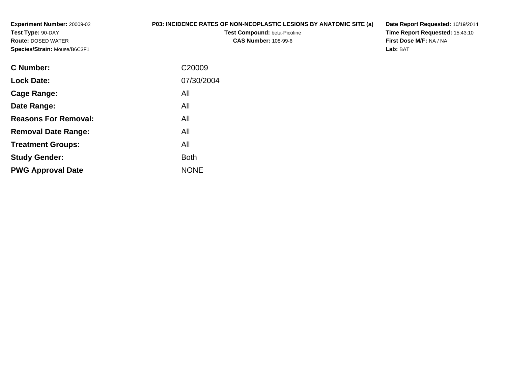**Experiment Number:** 20009-02**Test Type:** 90-DAY **Route:** DOSED WATER**Species/Strain:** Mouse/B6C3F1

## **P03: INCIDENCE RATES OF NON-NEOPLASTIC LESIONS BY ANATOMIC SITE (a)**

**Test Compound:** beta-Picoline**CAS Number:** 108-99-6

**Date Report Requested:** 10/19/2014 **Time Report Requested:** 15:43:10**First Dose M/F:** NA / NA**Lab:** BAT

| C Number:                   | C <sub>20009</sub> |
|-----------------------------|--------------------|
| <b>Lock Date:</b>           | 07/30/2004         |
| Cage Range:                 | All                |
| Date Range:                 | All                |
| <b>Reasons For Removal:</b> | All                |
| <b>Removal Date Range:</b>  | All                |
| <b>Treatment Groups:</b>    | All                |
| <b>Study Gender:</b>        | <b>Both</b>        |
| <b>PWG Approval Date</b>    | <b>NONE</b>        |
|                             |                    |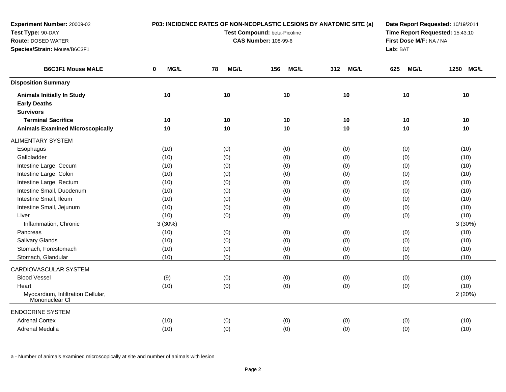| Experiment Number: 20009-02                          | P03: INCIDENCE RATES OF NON-NEOPLASTIC LESIONS BY ANATOMIC SITE (a)<br>Test Compound: beta-Picoline |            |                             |                    |                         | Date Report Requested: 10/19/2014 |  |  |
|------------------------------------------------------|-----------------------------------------------------------------------------------------------------|------------|-----------------------------|--------------------|-------------------------|-----------------------------------|--|--|
| Test Type: 90-DAY                                    |                                                                                                     |            |                             |                    |                         | Time Report Requested: 15:43:10   |  |  |
| <b>Route: DOSED WATER</b>                            |                                                                                                     |            | <b>CAS Number: 108-99-6</b> |                    | First Dose M/F: NA / NA |                                   |  |  |
| Species/Strain: Mouse/B6C3F1                         |                                                                                                     |            |                             | Lab: BAT           |                         |                                   |  |  |
| <b>B6C3F1 Mouse MALE</b>                             | 0<br>MG/L                                                                                           | MG/L<br>78 | <b>MG/L</b><br>156          | <b>MG/L</b><br>312 | 625<br>MG/L             | <b>MG/L</b><br>1250               |  |  |
| <b>Disposition Summary</b>                           |                                                                                                     |            |                             |                    |                         |                                   |  |  |
| <b>Animals Initially In Study</b>                    | 10                                                                                                  | 10         | 10                          | 10                 | 10                      | 10                                |  |  |
| <b>Early Deaths</b>                                  |                                                                                                     |            |                             |                    |                         |                                   |  |  |
| <b>Survivors</b>                                     |                                                                                                     |            |                             |                    |                         |                                   |  |  |
| <b>Terminal Sacrifice</b>                            | 10                                                                                                  | 10         | 10                          | 10                 | 10                      | 10                                |  |  |
| <b>Animals Examined Microscopically</b>              | 10                                                                                                  | 10         | 10                          | 10                 | 10                      | 10                                |  |  |
| <b>ALIMENTARY SYSTEM</b>                             |                                                                                                     |            |                             |                    |                         |                                   |  |  |
| Esophagus                                            | (10)                                                                                                | (0)        | (0)                         | (0)                | (0)                     | (10)                              |  |  |
| Gallbladder                                          | (10)                                                                                                | (0)        | (0)                         | (0)                | (0)                     | (10)                              |  |  |
| Intestine Large, Cecum                               | (10)                                                                                                | (0)        | (0)                         | (0)                | (0)                     | (10)                              |  |  |
| Intestine Large, Colon                               | (10)                                                                                                | (0)        | (0)                         | (0)                | (0)                     | (10)                              |  |  |
| Intestine Large, Rectum                              | (10)                                                                                                | (0)        | (0)                         | (0)                | (0)                     | (10)                              |  |  |
| Intestine Small, Duodenum                            | (10)                                                                                                | (0)        | (0)                         | (0)                | (0)                     | (10)                              |  |  |
| Intestine Small, Ileum                               | (10)                                                                                                | (0)        | (0)                         | (0)                | (0)                     | (10)                              |  |  |
| Intestine Small, Jejunum                             | (10)                                                                                                | (0)        | (0)                         | (0)                | (0)                     | (10)                              |  |  |
| Liver                                                | (10)                                                                                                | (0)        | (0)                         | (0)                | (0)                     | (10)                              |  |  |
| Inflammation, Chronic                                | 3(30%)                                                                                              |            |                             |                    |                         | 3(30%)                            |  |  |
| Pancreas                                             | (10)                                                                                                | (0)        | (0)                         | (0)                | (0)                     | (10)                              |  |  |
| <b>Salivary Glands</b>                               | (10)                                                                                                | (0)        | (0)                         | (0)                | (0)                     | (10)                              |  |  |
| Stomach, Forestomach                                 | (10)                                                                                                | (0)        | (0)                         | (0)                | (0)                     | (10)                              |  |  |
| Stomach, Glandular                                   | (10)                                                                                                | (0)        | (0)                         | (0)                | (0)                     | (10)                              |  |  |
| CARDIOVASCULAR SYSTEM                                |                                                                                                     |            |                             |                    |                         |                                   |  |  |
| <b>Blood Vessel</b>                                  | (9)                                                                                                 | (0)        | (0)                         | (0)                | (0)                     | (10)                              |  |  |
| Heart                                                | (10)                                                                                                | (0)        | (0)                         | (0)                | (0)                     | (10)                              |  |  |
| Myocardium, Infiltration Cellular,<br>Mononuclear CI |                                                                                                     |            |                             |                    |                         | 2(20%)                            |  |  |
| <b>ENDOCRINE SYSTEM</b>                              |                                                                                                     |            |                             |                    |                         |                                   |  |  |
| <b>Adrenal Cortex</b>                                | (10)                                                                                                | (0)        | (0)                         | (0)                | (0)                     | (10)                              |  |  |
| <b>Adrenal Medulla</b>                               | (10)                                                                                                | (0)        | (0)                         | (0)                | (0)                     | (10)                              |  |  |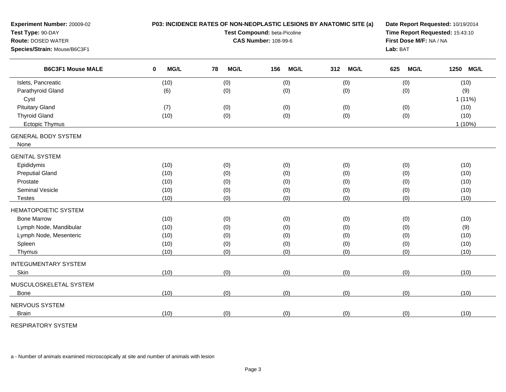| <b>Route: DOSED WATER</b><br>Species/Strain: Mouse/B6C3F1 |                  | P03: INCIDENCE RATES OF NON-NEOPLASTIC LESIONS BY ANATOMIC SITE (a)<br>Date Report Requested: 10/19/2014<br>Time Report Requested: 15:43:10<br>First Dose M/F: NA / NA<br>Lab: BAT |                    |                    |                    |                     |
|-----------------------------------------------------------|------------------|------------------------------------------------------------------------------------------------------------------------------------------------------------------------------------|--------------------|--------------------|--------------------|---------------------|
| <b>B6C3F1 Mouse MALE</b>                                  | <b>MG/L</b><br>0 | <b>MG/L</b><br>78                                                                                                                                                                  | <b>MG/L</b><br>156 | <b>MG/L</b><br>312 | <b>MG/L</b><br>625 | 1250<br><b>MG/L</b> |
| Islets, Pancreatic                                        | (10)             | (0)                                                                                                                                                                                | (0)                | (0)                | (0)                | (10)                |
| Parathyroid Gland                                         | (6)              | (0)                                                                                                                                                                                | (0)                | (0)                | (0)                | (9)                 |
| Cyst                                                      |                  |                                                                                                                                                                                    |                    |                    |                    | $1(11\%)$           |
| <b>Pituitary Gland</b>                                    | (7)              | (0)                                                                                                                                                                                | (0)                | (0)                | (0)                | (10)                |
| <b>Thyroid Gland</b>                                      | (10)             | (0)                                                                                                                                                                                | (0)                | (0)                | (0)                | (10)                |
| Ectopic Thymus                                            |                  |                                                                                                                                                                                    |                    |                    |                    | $1(10\%)$           |
| <b>GENERAL BODY SYSTEM</b>                                |                  |                                                                                                                                                                                    |                    |                    |                    |                     |
| None                                                      |                  |                                                                                                                                                                                    |                    |                    |                    |                     |
| <b>GENITAL SYSTEM</b>                                     |                  |                                                                                                                                                                                    |                    |                    |                    |                     |
| Epididymis                                                | (10)             | (0)                                                                                                                                                                                | (0)                | (0)                | (0)                | (10)                |
| <b>Preputial Gland</b>                                    | (10)             | (0)                                                                                                                                                                                | (0)                | (0)                | (0)                | (10)                |
| Prostate                                                  | (10)             | (0)                                                                                                                                                                                | (0)                | (0)                | (0)                | (10)                |
| Seminal Vesicle                                           | (10)             | (0)                                                                                                                                                                                | (0)                | (0)                | (0)                | (10)                |
| <b>Testes</b>                                             | (10)             | (0)                                                                                                                                                                                | (0)                | (0)                | (0)                | (10)                |
| <b>HEMATOPOIETIC SYSTEM</b>                               |                  |                                                                                                                                                                                    |                    |                    |                    |                     |
| <b>Bone Marrow</b>                                        | (10)             | (0)                                                                                                                                                                                | (0)                | (0)                | (0)                | (10)                |
| Lymph Node, Mandibular                                    | (10)             | (0)                                                                                                                                                                                | (0)                | (0)                | (0)                | (9)                 |
| Lymph Node, Mesenteric                                    | (10)             | (0)                                                                                                                                                                                | (0)                | (0)                | (0)                | (10)                |
| Spleen                                                    | (10)             | (0)                                                                                                                                                                                | (0)                | (0)                | (0)                | (10)                |
| Thymus                                                    | (10)             | (0)                                                                                                                                                                                | (0)                | (0)                | (0)                | (10)                |
| <b>INTEGUMENTARY SYSTEM</b>                               |                  |                                                                                                                                                                                    |                    |                    |                    |                     |
| Skin                                                      | (10)             | (0)                                                                                                                                                                                | (0)                | (0)                | (0)                | (10)                |
| MUSCULOSKELETAL SYSTEM                                    |                  |                                                                                                                                                                                    |                    |                    |                    |                     |
| <b>Bone</b>                                               | (10)             | (0)                                                                                                                                                                                | (0)                | (0)                | (0)                | (10)                |
| NERVOUS SYSTEM                                            |                  |                                                                                                                                                                                    |                    |                    |                    |                     |
| <b>Brain</b>                                              | (10)             | (0)                                                                                                                                                                                | (0)                | (0)                | (0)                | (10)                |

RESPIRATORY SYSTEM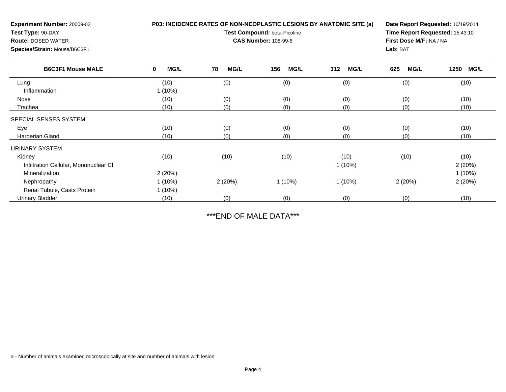| Experiment Number: 20009-02<br>Test Type: 90-DAY<br><b>Route: DOSED WATER</b><br>Species/Strain: Mouse/B6C3F1 |                  | P03: INCIDENCE RATES OF NON-NEOPLASTIC LESIONS BY ANATOMIC SITE (a)<br>Test Compound: beta-Picoline<br><b>CAS Number: 108-99-6</b> | Date Report Requested: 10/19/2014<br>Time Report Requested: 15:43:10<br>First Dose M/F: NA / NA<br>Lab: BAT |                    |                    |                     |
|---------------------------------------------------------------------------------------------------------------|------------------|------------------------------------------------------------------------------------------------------------------------------------|-------------------------------------------------------------------------------------------------------------|--------------------|--------------------|---------------------|
| <b>B6C3F1 Mouse MALE</b>                                                                                      | <b>MG/L</b><br>0 | <b>MG/L</b><br>78                                                                                                                  | <b>MG/L</b><br>156                                                                                          | 312<br><b>MG/L</b> | 625<br><b>MG/L</b> | <b>MG/L</b><br>1250 |
| Lung                                                                                                          | (10)             | (0)                                                                                                                                | (0)                                                                                                         | (0)                | (0)                | (10)                |
| Inflammation                                                                                                  | $1(10\%)$        |                                                                                                                                    |                                                                                                             |                    |                    |                     |
| Nose                                                                                                          | (10)             | (0)                                                                                                                                | (0)                                                                                                         | (0)                | (0)                | (10)                |
| Trachea                                                                                                       | (10)             | (0)                                                                                                                                | (0)                                                                                                         | (0)                | (0)                | (10)                |
| SPECIAL SENSES SYSTEM                                                                                         |                  |                                                                                                                                    |                                                                                                             |                    |                    |                     |
| Eye                                                                                                           | (10)             | (0)                                                                                                                                | (0)                                                                                                         | (0)                | (0)                | (10)                |
| <b>Harderian Gland</b>                                                                                        | (10)             | (0)                                                                                                                                | (0)                                                                                                         | (0)                | (0)                | (10)                |
| URINARY SYSTEM                                                                                                |                  |                                                                                                                                    |                                                                                                             |                    |                    |                     |
| Kidney                                                                                                        | (10)             | (10)                                                                                                                               | (10)                                                                                                        | (10)               | (10)               | (10)                |
| Infiltration Cellular, Mononuclear CI                                                                         |                  |                                                                                                                                    |                                                                                                             | $1(10\%)$          |                    | 2(20%)              |
| Mineralization                                                                                                | 2(20%)           |                                                                                                                                    |                                                                                                             |                    |                    | $1(10\%)$           |
| Nephropathy                                                                                                   | $1(10\%)$        | 2(20%)                                                                                                                             | $1(10\%)$                                                                                                   | $1(10\%)$          | 2(20%)             | 2(20%)              |
| Renal Tubule, Casts Protein                                                                                   | $1(10\%)$        |                                                                                                                                    |                                                                                                             |                    |                    |                     |
| <b>Urinary Bladder</b>                                                                                        | (10)             | (0)                                                                                                                                | (0)                                                                                                         | (0)                | (0)                | (10)                |

## \*\*\*END OF MALE DATA\*\*\*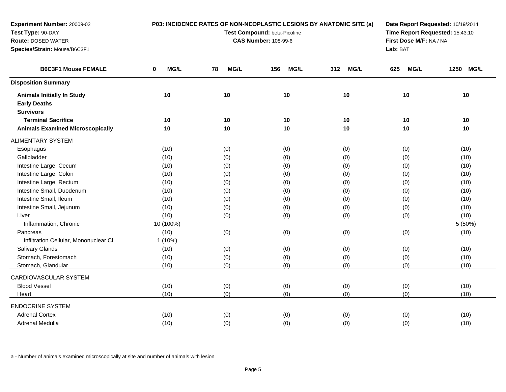| Experiment Number: 20009-02             | P03: INCIDENCE RATES OF NON-NEOPLASTIC LESIONS BY ANATOMIC SITE (a) |                                                        |                                 |                    | Date Report Requested: 10/19/2014 |           |  |
|-----------------------------------------|---------------------------------------------------------------------|--------------------------------------------------------|---------------------------------|--------------------|-----------------------------------|-----------|--|
| Test Type: 90-DAY                       |                                                                     | Test Compound: beta-Picoline                           | Time Report Requested: 15:43:10 |                    |                                   |           |  |
| <b>Route: DOSED WATER</b>               |                                                                     | <b>CAS Number: 108-99-6</b><br>First Dose M/F: NA / NA |                                 |                    |                                   |           |  |
| Species/Strain: Mouse/B6C3F1            |                                                                     |                                                        |                                 |                    | Lab: BAT                          |           |  |
| <b>B6C3F1 Mouse FEMALE</b>              | <b>MG/L</b><br>0                                                    | MG/L<br>78                                             | <b>MG/L</b><br>156              | <b>MG/L</b><br>312 | <b>MG/L</b><br>625                | 1250 MG/L |  |
| <b>Disposition Summary</b>              |                                                                     |                                                        |                                 |                    |                                   |           |  |
| <b>Animals Initially In Study</b>       | $10$                                                                | 10                                                     | 10                              | 10                 | 10                                | 10        |  |
| <b>Early Deaths</b>                     |                                                                     |                                                        |                                 |                    |                                   |           |  |
| <b>Survivors</b>                        |                                                                     |                                                        |                                 |                    |                                   |           |  |
| <b>Terminal Sacrifice</b>               | 10                                                                  | 10                                                     | 10                              | 10                 | 10                                | 10        |  |
| <b>Animals Examined Microscopically</b> | 10                                                                  | 10                                                     | 10                              | 10                 | 10                                | 10        |  |
| <b>ALIMENTARY SYSTEM</b>                |                                                                     |                                                        |                                 |                    |                                   |           |  |
| Esophagus                               | (10)                                                                | (0)                                                    | (0)                             | (0)                | (0)                               | (10)      |  |
| Gallbladder                             | (10)                                                                | (0)                                                    | (0)                             | (0)                | (0)                               | (10)      |  |
| Intestine Large, Cecum                  | (10)                                                                | (0)                                                    | (0)                             | (0)                | (0)                               | (10)      |  |
| Intestine Large, Colon                  | (10)                                                                | (0)                                                    | (0)                             | (0)                | (0)                               | (10)      |  |
| Intestine Large, Rectum                 | (10)                                                                | (0)                                                    | (0)                             | (0)                | (0)                               | (10)      |  |
| Intestine Small, Duodenum               | (10)                                                                | (0)                                                    | (0)                             | (0)                | (0)                               | (10)      |  |
| Intestine Small, Ileum                  | (10)                                                                | (0)                                                    | (0)                             | (0)                | (0)                               | (10)      |  |
| Intestine Small, Jejunum                | (10)                                                                | (0)                                                    | (0)                             | (0)                | (0)                               | (10)      |  |
| Liver                                   | (10)                                                                | (0)                                                    | (0)                             | (0)                | (0)                               | (10)      |  |
| Inflammation, Chronic                   | 10 (100%)                                                           |                                                        |                                 |                    |                                   | 5 (50%)   |  |
| Pancreas                                | (10)                                                                | (0)                                                    | (0)                             | (0)                | (0)                               | (10)      |  |
| Infiltration Cellular, Mononuclear CI   | 1(10%)                                                              |                                                        |                                 |                    |                                   |           |  |
| Salivary Glands                         | (10)                                                                | (0)                                                    | (0)                             | (0)                | (0)                               | (10)      |  |
| Stomach, Forestomach                    | (10)                                                                | (0)                                                    | (0)                             | (0)                | (0)                               | (10)      |  |
| Stomach, Glandular                      | (10)                                                                | (0)                                                    | (0)                             | (0)                | (0)                               | (10)      |  |
| CARDIOVASCULAR SYSTEM                   |                                                                     |                                                        |                                 |                    |                                   |           |  |
| <b>Blood Vessel</b>                     | (10)                                                                | (0)                                                    | (0)                             | (0)                | (0)                               | (10)      |  |
| Heart                                   | (10)                                                                | (0)                                                    | (0)                             | (0)                | (0)                               | (10)      |  |
| <b>ENDOCRINE SYSTEM</b>                 |                                                                     |                                                        |                                 |                    |                                   |           |  |
| <b>Adrenal Cortex</b>                   | (10)                                                                | (0)                                                    | (0)                             | (0)                | (0)                               | (10)      |  |
| Adrenal Medulla                         | (10)                                                                | (0)                                                    | (0)                             | (0)                | (0)                               | (10)      |  |
|                                         |                                                                     |                                                        |                                 |                    |                                   |           |  |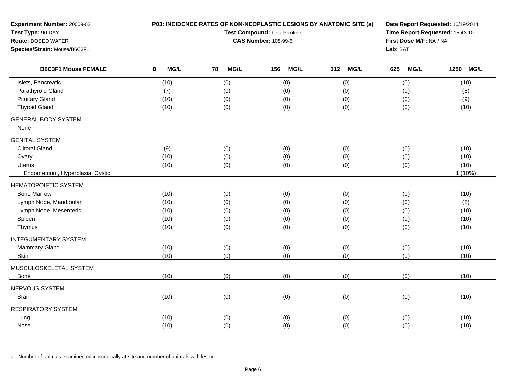| Experiment Number: 20009-02<br>Test Type: 90-DAY<br><b>Route: DOSED WATER</b><br>Species/Strain: Mouse/B6C3F1 |                     | P03: INCIDENCE RATES OF NON-NEOPLASTIC LESIONS BY ANATOMIC SITE (a)<br>Date Report Requested: 10/19/2014<br>Test Compound: beta-Picoline<br>Time Report Requested: 15:43:10<br><b>CAS Number: 108-99-6</b><br>First Dose M/F: NA / NA<br>Lab: BAT |                    |                    |             |                     |
|---------------------------------------------------------------------------------------------------------------|---------------------|---------------------------------------------------------------------------------------------------------------------------------------------------------------------------------------------------------------------------------------------------|--------------------|--------------------|-------------|---------------------|
| <b>B6C3F1 Mouse FEMALE</b>                                                                                    | $\mathbf 0$<br>MG/L | 78<br><b>MG/L</b>                                                                                                                                                                                                                                 | <b>MG/L</b><br>156 | <b>MG/L</b><br>312 | 625<br>MG/L | 1250<br><b>MG/L</b> |
| Islets, Pancreatic                                                                                            | (10)                | (0)                                                                                                                                                                                                                                               | (0)                | (0)                | (0)         | (10)                |
| Parathyroid Gland                                                                                             | (7)                 | (0)                                                                                                                                                                                                                                               | (0)                | (0)                | (0)         | (8)                 |
| <b>Pituitary Gland</b>                                                                                        | (10)                | (0)                                                                                                                                                                                                                                               | (0)                | (0)                | (0)         | (9)                 |
| <b>Thyroid Gland</b>                                                                                          | (10)                | (0)                                                                                                                                                                                                                                               | (0)                | (0)                | (0)         | (10)                |
| <b>GENERAL BODY SYSTEM</b><br>None                                                                            |                     |                                                                                                                                                                                                                                                   |                    |                    |             |                     |
| <b>GENITAL SYSTEM</b>                                                                                         |                     |                                                                                                                                                                                                                                                   |                    |                    |             |                     |
| <b>Clitoral Gland</b>                                                                                         | (9)                 | (0)                                                                                                                                                                                                                                               | (0)                | (0)                | (0)         | (10)                |
| Ovary                                                                                                         | (10)                | (0)                                                                                                                                                                                                                                               | (0)                | (0)                | (0)         | (10)                |
| <b>Uterus</b>                                                                                                 | (10)                | (0)                                                                                                                                                                                                                                               | (0)                | (0)                | (0)         | (10)                |
| Endometrium, Hyperplasia, Cystic                                                                              |                     |                                                                                                                                                                                                                                                   |                    |                    |             | $1(10\%)$           |
| <b>HEMATOPOIETIC SYSTEM</b>                                                                                   |                     |                                                                                                                                                                                                                                                   |                    |                    |             |                     |
| <b>Bone Marrow</b>                                                                                            | (10)                | (0)                                                                                                                                                                                                                                               | (0)                | (0)                | (0)         | (10)                |
| Lymph Node, Mandibular                                                                                        | (10)                | (0)                                                                                                                                                                                                                                               | (0)                | (0)                | (0)         | (8)                 |
| Lymph Node, Mesenteric                                                                                        | (10)                | (0)                                                                                                                                                                                                                                               | (0)                | (0)                | (0)         | (10)                |
| Spleen                                                                                                        | (10)                | (0)                                                                                                                                                                                                                                               | (0)                | (0)                | (0)         | (10)                |
| Thymus                                                                                                        | (10)                | (0)                                                                                                                                                                                                                                               | (0)                | (0)                | (0)         | (10)                |
| <b>INTEGUMENTARY SYSTEM</b>                                                                                   |                     |                                                                                                                                                                                                                                                   |                    |                    |             |                     |
| <b>Mammary Gland</b>                                                                                          | (10)                | (0)                                                                                                                                                                                                                                               | (0)                | (0)                | (0)         | (10)                |
| Skin                                                                                                          | (10)                | (0)                                                                                                                                                                                                                                               | (0)                | (0)                | (0)         | (10)                |
| MUSCULOSKELETAL SYSTEM                                                                                        |                     |                                                                                                                                                                                                                                                   |                    |                    |             |                     |
| Bone                                                                                                          | (10)                | (0)                                                                                                                                                                                                                                               | (0)                | (0)                | (0)         | (10)                |
| NERVOUS SYSTEM                                                                                                |                     |                                                                                                                                                                                                                                                   |                    |                    |             |                     |
| <b>Brain</b>                                                                                                  | (10)                | (0)                                                                                                                                                                                                                                               | (0)                | (0)                | (0)         | (10)                |
| <b>RESPIRATORY SYSTEM</b>                                                                                     |                     |                                                                                                                                                                                                                                                   |                    |                    |             |                     |
| Lung                                                                                                          | (10)                | (0)                                                                                                                                                                                                                                               | (0)                | (0)                | (0)         | (10)                |
| Nose                                                                                                          | (10)                | (0)                                                                                                                                                                                                                                               | (0)                | (0)                | (0)         | (10)                |
|                                                                                                               |                     |                                                                                                                                                                                                                                                   |                    |                    |             |                     |